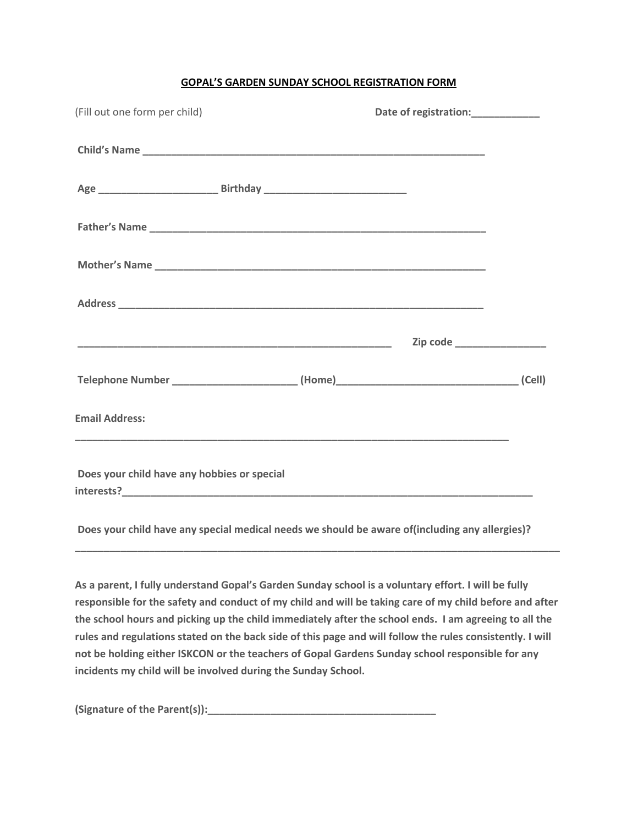#### **GOPAL'S GARDEN SUNDAY SCHOOL REGISTRATION FORM**

| (Fill out one form per child)                                                           |  |  |  |
|-----------------------------------------------------------------------------------------|--|--|--|
|                                                                                         |  |  |  |
|                                                                                         |  |  |  |
|                                                                                         |  |  |  |
|                                                                                         |  |  |  |
|                                                                                         |  |  |  |
|                                                                                         |  |  |  |
| Telephone Number _________________________(Home)_________________________________(Cell) |  |  |  |
| <b>Email Address:</b>                                                                   |  |  |  |
| Does your child have any hobbies or special                                             |  |  |  |

**Does your child have any special medical needs we should be aware of(including any allergies)?** 

**As a parent, I fully understand Gopal's Garden Sunday school is a voluntary effort. I will be fully responsible for the safety and conduct of my child and will be taking care of my child before and after the school hours and picking up the child immediately after the school ends. I am agreeing to all the rules and regulations stated on the back side of this page and will follow the rules consistently. I will not be holding either ISKCON or the teachers of Gopal Gardens Sunday school responsible for any incidents my child will be involved during the Sunday School.**

**\_\_\_\_\_\_\_\_\_\_\_\_\_\_\_\_\_\_\_\_\_\_\_\_\_\_\_\_\_\_\_\_\_\_\_\_\_\_\_\_\_\_\_\_\_\_\_\_\_\_\_\_\_\_\_\_\_\_\_\_\_\_\_\_\_\_\_\_\_\_\_\_\_\_\_\_\_\_\_\_\_\_\_\_\_**

**(Signature of the Parent(s)):\_\_\_\_\_\_\_\_\_\_\_\_\_\_\_\_\_\_\_\_\_\_\_\_\_\_\_\_\_\_\_\_\_\_\_\_\_\_\_\_**